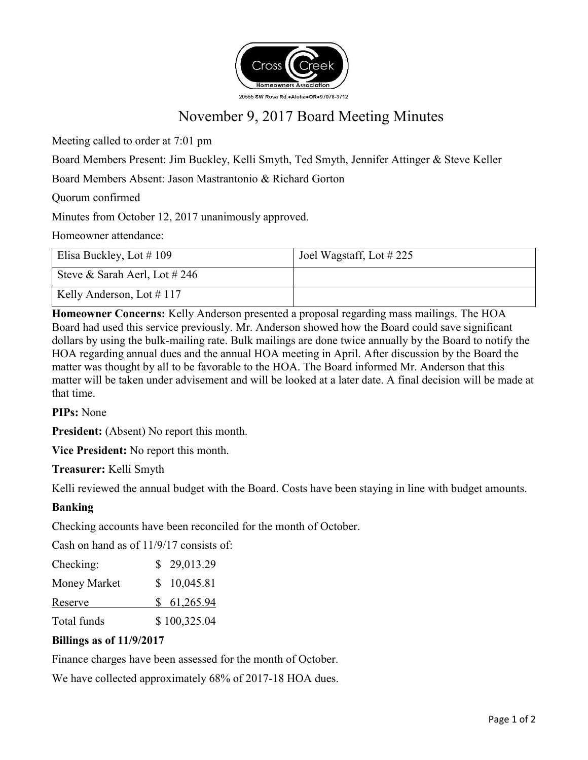

# November 9, 2017 Board Meeting Minutes

Meeting called to order at 7:01 pm

Board Members Present: Jim Buckley, Kelli Smyth, Ted Smyth, Jennifer Attinger & Steve Keller

Board Members Absent: Jason Mastrantonio & Richard Gorton

Quorum confirmed

Minutes from October 12, 2017 unanimously approved.

Homeowner attendance:

| Elisa Buckley, Lot $\#$ 109      | Joel Wagstaff, Lot $\#$ 225 |
|----------------------------------|-----------------------------|
| Steve & Sarah Aerl, Lot $\#$ 246 |                             |
| Kelly Anderson, Lot $\#$ 117     |                             |

**Homeowner Concerns:** Kelly Anderson presented a proposal regarding mass mailings. The HOA Board had used this service previously. Mr. Anderson showed how the Board could save significant dollars by using the bulk-mailing rate. Bulk mailings are done twice annually by the Board to notify the HOA regarding annual dues and the annual HOA meeting in April. After discussion by the Board the matter was thought by all to be favorable to the HOA. The Board informed Mr. Anderson that this matter will be taken under advisement and will be looked at a later date. A final decision will be made at that time.

**PIPs:** None

**President:** (Absent) No report this month.

**Vice President:** No report this month.

**Treasurer:** Kelli Smyth

Kelli reviewed the annual budget with the Board. Costs have been staying in line with budget amounts.

# **Banking**

Checking accounts have been reconciled for the month of October.

Cash on hand as of 11/9/17 consists of:

| Checking:    | \$29,013.29  |
|--------------|--------------|
| Money Market | \$10,045.81  |
| Reserve      | \$61,265.94  |
| Total funds  | \$100,325.04 |

#### **Billings as of 11/9/2017**

Finance charges have been assessed for the month of October.

We have collected approximately 68% of 2017-18 HOA dues.